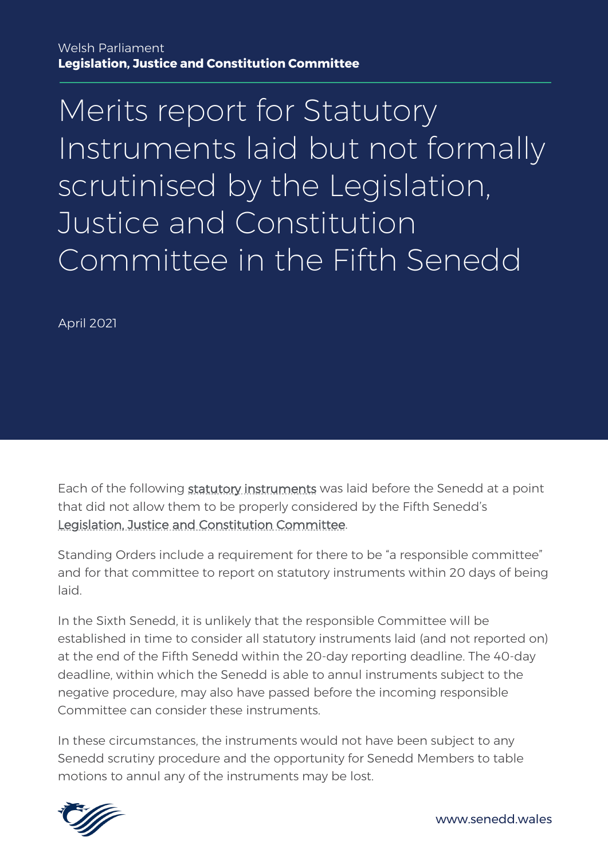April 2021

Each of the following [statutory instruments](https://senedd.wales/senedd-business/legislation/subordinate-legislation/) was laid before the Senedd at a point that did not allow them to be properly considered by the Fifth Senedd's [Legislation, Justice and Constitution Committee.](https://senedd.wales/committee/434)

Standing Orders include a requirement for there to be "a responsible committee" and for that committee to report on statutory instruments within 20 days of being laid.

In the Sixth Senedd, it is unlikely that the responsible Committee will be established in time to consider all statutory instruments laid (and not reported on) at the end of the Fifth Senedd within the 20-day reporting deadline. The 40-day deadline, within which the Senedd is able to annul instruments subject to the negative procedure, may also have passed before the incoming responsible Committee can consider these instruments.

In these circumstances, the instruments would not have been subject to any Senedd scrutiny procedure and the opportunity for Senedd Members to table motions to annul any of the instruments may be lost.

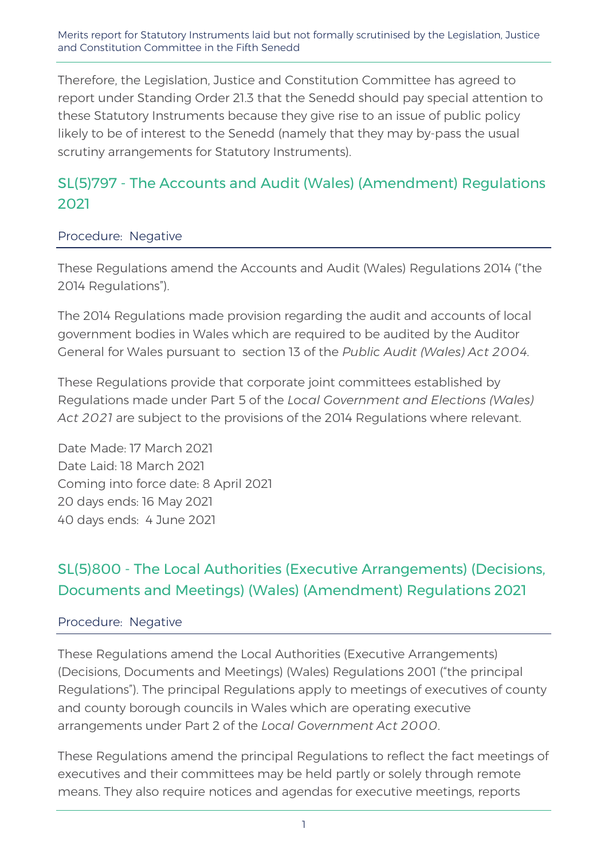Therefore, the Legislation, Justice and Constitution Committee has agreed to report under Standing Order 21.3 that the Senedd should pay special attention to these Statutory Instruments because they give rise to an issue of public policy likely to be of interest to the Senedd (namely that they may by-pass the usual scrutiny arrangements for Statutory Instruments).

## SL(5)797 - The Accounts and Audit (Wales) (Amendment) Regulations 2021

### Procedure: Negative

These Regulations amend the Accounts and Audit (Wales) Regulations 2014 ("the 2014 Regulations").

The 2014 Regulations made provision regarding the audit and accounts of local government bodies in Wales which are required to be audited by the Auditor General for Wales pursuant to section 13 of the *Public Audit (Wales) Act 2004.*

These Regulations provide that corporate joint committees established by Regulations made under Part 5 of the *Local Government and Elections (Wales) Act 2021* are subject to the provisions of the 2014 Regulations where relevant.

Date Made: 17 March 2021 Date Laid: 18 March 2021 Coming into force date: 8 April 2021 20 days ends: 16 May 2021 40 days ends: 4 June 2021

## SL(5)800 - The Local Authorities (Executive Arrangements) (Decisions, Documents and Meetings) (Wales) (Amendment) Regulations 2021

### Procedure: Negative

These Regulations amend the Local Authorities (Executive Arrangements) (Decisions, Documents and Meetings) (Wales) Regulations 2001 ("the principal Regulations"). The principal Regulations apply to meetings of executives of county and county borough councils in Wales which are operating executive arrangements under Part 2 of the *Local Government Act 2000*.

These Regulations amend the principal Regulations to reflect the fact meetings of executives and their committees may be held partly or solely through remote means. They also require notices and agendas for executive meetings, reports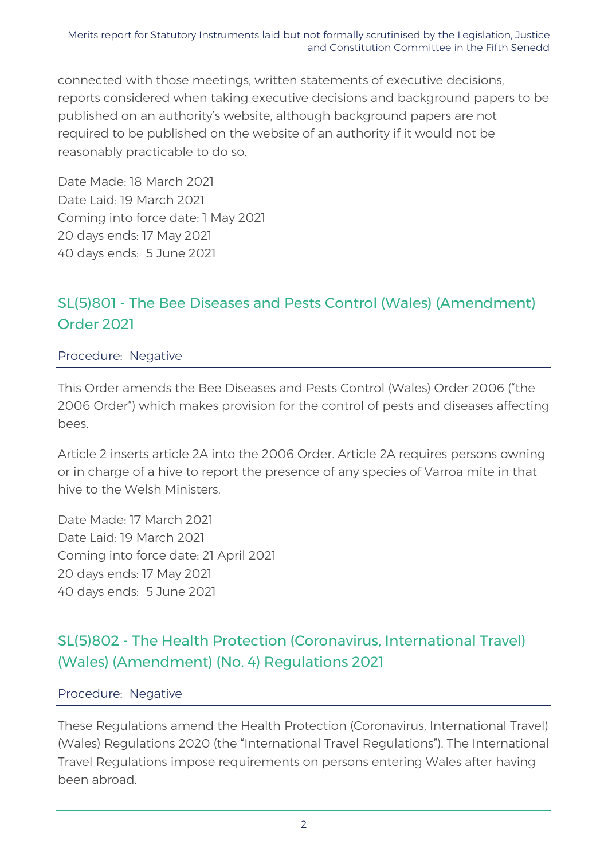connected with those meetings, written statements of executive decisions, reports considered when taking executive decisions and background papers to be published on an authority's website, although background papers are not required to be published on the website of an authority if it would not be reasonably practicable to do so.

Date Made: 18 March 2021 Date Laid: 19 March 2021 Coming into force date: 1 May 2021 20 days ends: 17 May 2021 40 days ends: 5 June 2021

## SL(5)801 - The Bee Diseases and Pests Control (Wales) (Amendment) Order 2021

#### Procedure: Negative

This Order amends the Bee Diseases and Pests Control (Wales) Order 2006 ("the 2006 Order") which makes provision for the control of pests and diseases affecting bees.

Article 2 inserts article 2A into the 2006 Order. Article 2A requires persons owning or in charge of a hive to report the presence of any species of Varroa mite in that hive to the Welsh Ministers.

Date Made: 17 March 2021 Date Laid: 19 March 2021 Coming into force date: 21 April 2021 20 days ends: 17 May 2021 40 days ends: 5 June 2021

## SL(5)802 - The Health Protection (Coronavirus, International Travel) (Wales) (Amendment) (No. 4) Regulations 2021

#### Procedure: Negative

These Regulations amend the Health Protection (Coronavirus, International Travel) (Wales) Regulations 2020 (the "International Travel Regulations"). The International Travel Regulations impose requirements on persons entering Wales after having been abroad.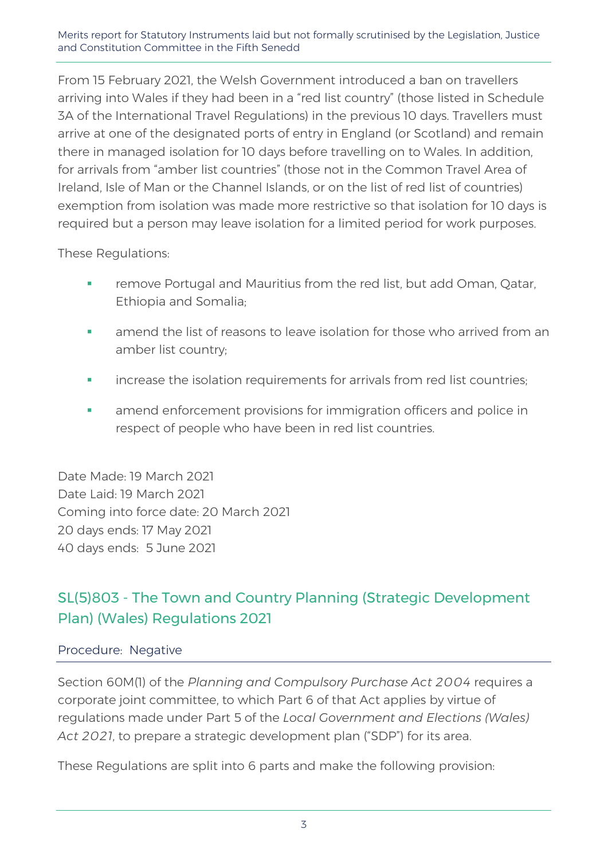From 15 February 2021, the Welsh Government introduced a ban on travellers arriving into Wales if they had been in a "red list country" (those listed in Schedule 3A of the International Travel Regulations) in the previous 10 days. Travellers must arrive at one of the designated ports of entry in England (or Scotland) and remain there in managed isolation for 10 days before travelling on to Wales. In addition, for arrivals from "amber list countries" (those not in the Common Travel Area of Ireland, Isle of Man or the Channel Islands, or on the list of red list of countries) exemption from isolation was made more restrictive so that isolation for 10 days is required but a person may leave isolation for a limited period for work purposes.

These Regulations:

- **Fall an** emove Portugal and Mauritius from the red list, but add Oman, Qatar, Ethiopia and Somalia;
- **EXED amend the list of reasons to leave isolation for those who arrived from an** amber list country;
- **i** increase the isolation requirements for arrivals from red list countries;
- **•** amend enforcement provisions for immigration officers and police in respect of people who have been in red list countries.

Date Made: 19 March 2021 Date Laid: 19 March 2021 Coming into force date: 20 March 2021 20 days ends: 17 May 2021 40 days ends: 5 June 2021

## SL(5)803 - The Town and Country Planning (Strategic Development Plan) (Wales) Regulations 2021

#### Procedure: Negative

Section 60M(1) of the *Planning and Compulsory Purchase Act 2004* requires a corporate joint committee, to which Part 6 of that Act applies by virtue of regulations made under Part 5 of the *Local Government and Elections (Wales) Act 2021*, to prepare a strategic development plan ("SDP") for its area.

These Regulations are split into 6 parts and make the following provision: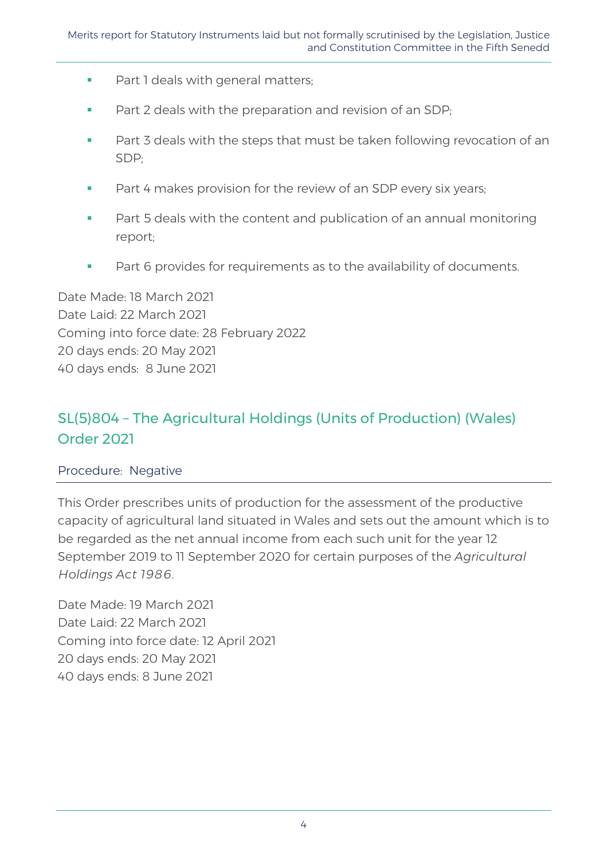- **Part 1 deals with general matters;**
- **Part 2 deals with the preparation and revision of an SDP;**
- **Part 3 deals with the steps that must be taken following revocation of an** SDP;
- **Part 4 makes provision for the review of an SDP every six years;**
- **Part 5 deals with the content and publication of an annual monitoring** report;
- Part 6 provides for requirements as to the availability of documents.

Date Made: 18 March 2021 Date Laid: 22 March 2021 Coming into force date: 28 February 2022 20 days ends: 20 May 2021 40 days ends: 8 June 2021

## SL(5)804 – The Agricultural Holdings (Units of Production) (Wales) Order 2021

### Procedure: Negative

This Order prescribes units of production for the assessment of the productive capacity of agricultural land situated in Wales and sets out the amount which is to be regarded as the net annual income from each such unit for the year 12 September 2019 to 11 September 2020 for certain purposes of the *Agricultural Holdings Act 1986*.

Date Made: 19 March 2021 Date Laid: 22 March 2021 Coming into force date: 12 April 2021 20 days ends: 20 May 2021 40 days ends: 8 June 2021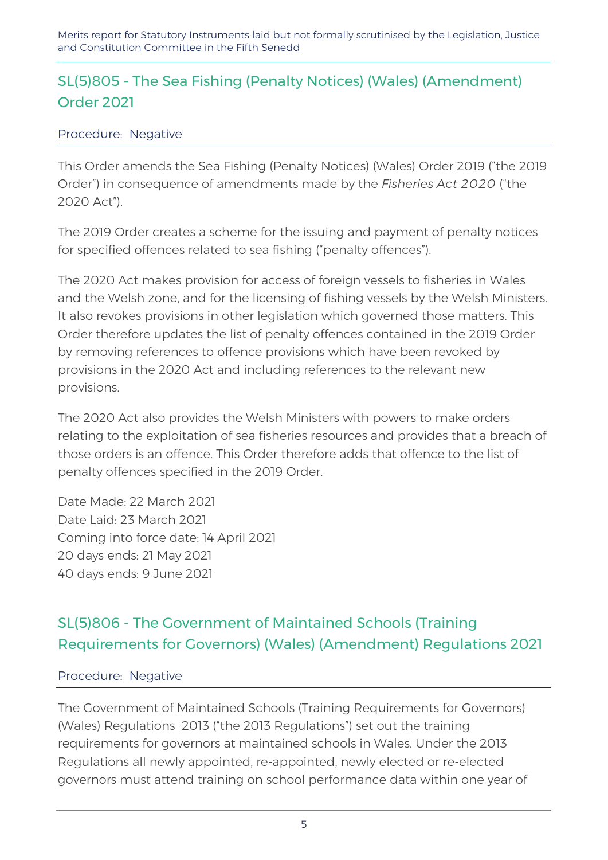## SL(5)805 - The Sea Fishing (Penalty Notices) (Wales) (Amendment) Order 2021

### Procedure: Negative

This Order amends the Sea Fishing (Penalty Notices) (Wales) Order 2019 ("the 2019 Order") in consequence of amendments made by the *Fisheries Act 2020* ("the 2020 Act").

The 2019 Order creates a scheme for the issuing and payment of penalty notices for specified offences related to sea fishing ("penalty offences").

The 2020 Act makes provision for access of foreign vessels to fisheries in Wales and the Welsh zone, and for the licensing of fishing vessels by the Welsh Ministers. It also revokes provisions in other legislation which governed those matters. This Order therefore updates the list of penalty offences contained in the 2019 Order by removing references to offence provisions which have been revoked by provisions in the 2020 Act and including references to the relevant new provisions.

The 2020 Act also provides the Welsh Ministers with powers to make orders relating to the exploitation of sea fisheries resources and provides that a breach of those orders is an offence. This Order therefore adds that offence to the list of penalty offences specified in the 2019 Order.

Date Made: 22 March 2021 Date Laid: 23 March 2021 Coming into force date: 14 April 2021 20 days ends: 21 May 2021 40 days ends: 9 June 2021

# SL(5)806 - The Government of Maintained Schools (Training Requirements for Governors) (Wales) (Amendment) Regulations 2021

### Procedure: Negative

The Government of Maintained Schools (Training Requirements for Governors) (Wales) Regulations 2013 ("the 2013 Regulations") set out the training requirements for governors at maintained schools in Wales. Under the 2013 Regulations all newly appointed, re-appointed, newly elected or re-elected governors must attend training on school performance data within one year of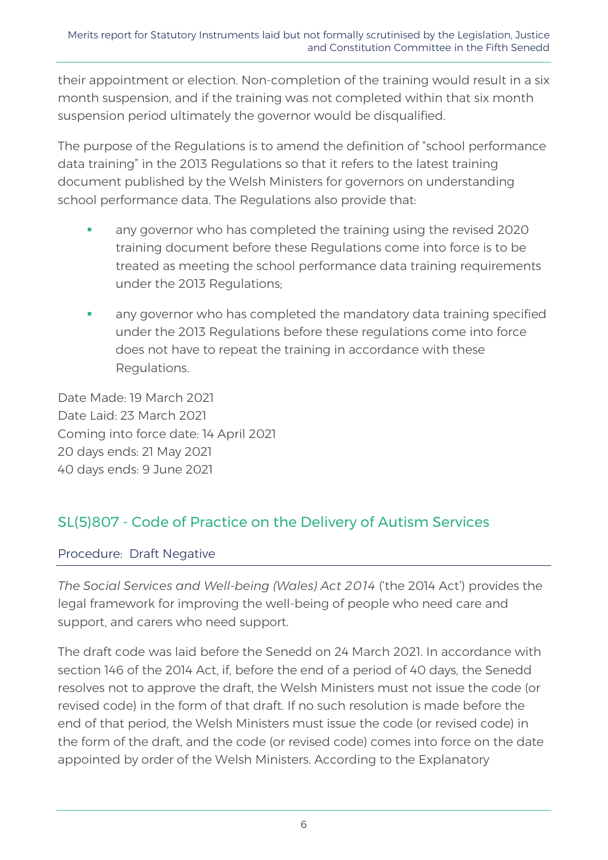their appointment or election. Non-completion of the training would result in a six month suspension, and if the training was not completed within that six month suspension period ultimately the governor would be disqualified.

The purpose of the Regulations is to amend the definition of "school performance data training" in the 2013 Regulations so that it refers to the latest training document published by the Welsh Ministers for governors on understanding school performance data. The Regulations also provide that:

- any governor who has completed the training using the revised 2020 training document before these Regulations come into force is to be treated as meeting the school performance data training requirements under the 2013 Regulations;
- any governor who has completed the mandatory data training specified under the 2013 Regulations before these regulations come into force does not have to repeat the training in accordance with these Regulations.

Date Made: 19 March 2021 Date Laid: 23 March 2021 Coming into force date: 14 April 2021 20 days ends: 21 May 2021 40 days ends: 9 June 2021

## SL(5)807 - Code of Practice on the Delivery of Autism Services

### Procedure: Draft Negative

*The Social Services and Well-being (Wales) Act 2014* ('the 2014 Act') provides the legal framework for improving the well-being of people who need care and support, and carers who need support.

The draft code was laid before the Senedd on 24 March 2021. In accordance with section 146 of the 2014 Act, if, before the end of a period of 40 days, the Senedd resolves not to approve the draft, the Welsh Ministers must not issue the code (or revised code) in the form of that draft. If no such resolution is made before the end of that period, the Welsh Ministers must issue the code (or revised code) in the form of the draft, and the code (or revised code) comes into force on the date appointed by order of the Welsh Ministers. According to the Explanatory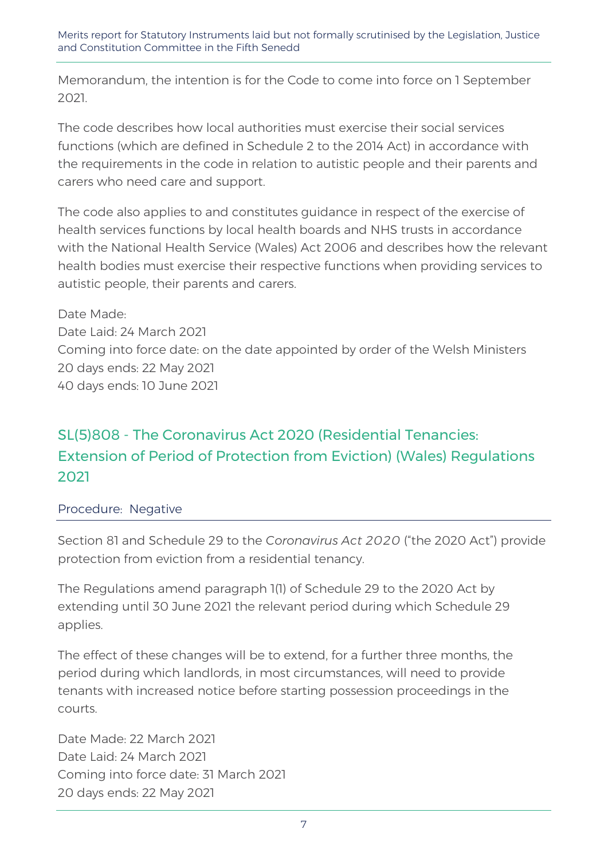Memorandum, the intention is for the Code to come into force on 1 September 2021.

The code describes how local authorities must exercise their social services functions (which are defined in Schedule 2 to the 2014 Act) in accordance with the requirements in the code in relation to autistic people and their parents and carers who need care and support.

The code also applies to and constitutes guidance in respect of the exercise of health services functions by local health boards and NHS trusts in accordance with the National Health Service (Wales) Act 2006 and describes how the relevant health bodies must exercise their respective functions when providing services to autistic people, their parents and carers.

Date Made: Date Laid: 24 March 2021 Coming into force date: on the date appointed by order of the Welsh Ministers 20 days ends: 22 May 2021 40 days ends: 10 June 2021

# SL(5)808 - The Coronavirus Act 2020 (Residential Tenancies: Extension of Period of Protection from Eviction) (Wales) Regulations 2021

Procedure: Negative

Section 81 and Schedule 29 to the *Coronavirus Act 2020* ("the 2020 Act") provide protection from eviction from a residential tenancy.

The Regulations amend paragraph 1(1) of Schedule 29 to the 2020 Act by extending until 30 June 2021 the relevant period during which Schedule 29 applies.

The effect of these changes will be to extend, for a further three months, the period during which landlords, in most circumstances, will need to provide tenants with increased notice before starting possession proceedings in the courts.

Date Made: 22 March 2021 Date Laid: 24 March 2021 Coming into force date: 31 March 2021 20 days ends: 22 May 2021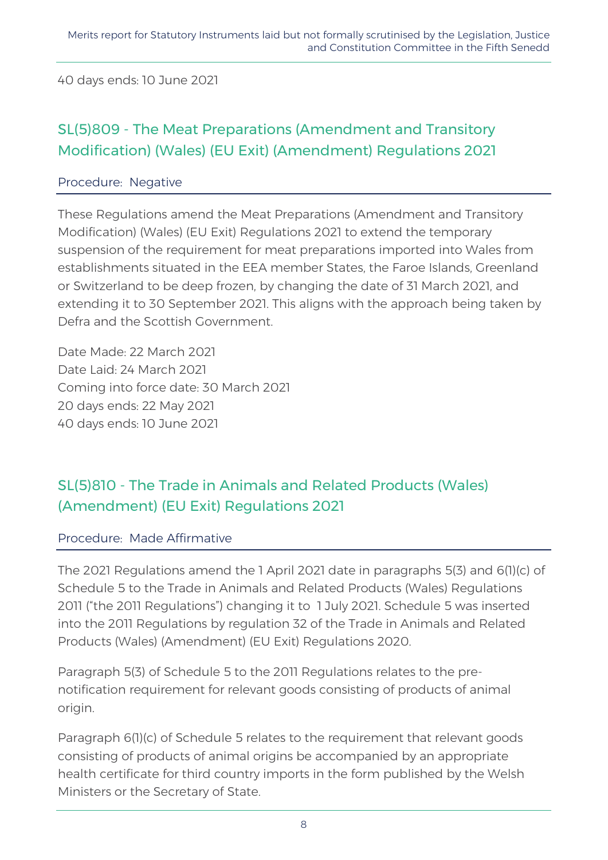40 days ends: 10 June 2021

## SL(5)809 - The Meat Preparations (Amendment and Transitory Modification) (Wales) (EU Exit) (Amendment) Regulations 2021

### Procedure: Negative

These Regulations amend the Meat Preparations (Amendment and Transitory Modification) (Wales) (EU Exit) Regulations 2021 to extend the temporary suspension of the requirement for meat preparations imported into Wales from establishments situated in the EEA member States, the Faroe Islands, Greenland or Switzerland to be deep frozen, by changing the date of 31 March 2021, and extending it to 30 September 2021. This aligns with the approach being taken by Defra and the Scottish Government.

Date Made: 22 March 2021 Date Laid: 24 March 2021 Coming into force date: 30 March 2021 20 days ends: 22 May 2021 40 days ends: 10 June 2021

## SL(5)810 - The Trade in Animals and Related Products (Wales) (Amendment) (EU Exit) Regulations 2021

#### Procedure: Made Affirmative

The 2021 Regulations amend the 1 April 2021 date in paragraphs 5(3) and 6(1)(c) of Schedule 5 to the Trade in Animals and Related Products (Wales) Regulations 2011 ("the 2011 Regulations") changing it to 1 July 2021. Schedule 5 was inserted into the 2011 Regulations by regulation 32 of the Trade in Animals and Related Products (Wales) (Amendment) (EU Exit) Regulations 2020.

Paragraph 5(3) of Schedule 5 to the 2011 Regulations relates to the prenotification requirement for relevant goods consisting of products of animal origin.

Paragraph 6(1)(c) of Schedule 5 relates to the requirement that relevant goods consisting of products of animal origins be accompanied by an appropriate health certificate for third country imports in the form published by the Welsh Ministers or the Secretary of State.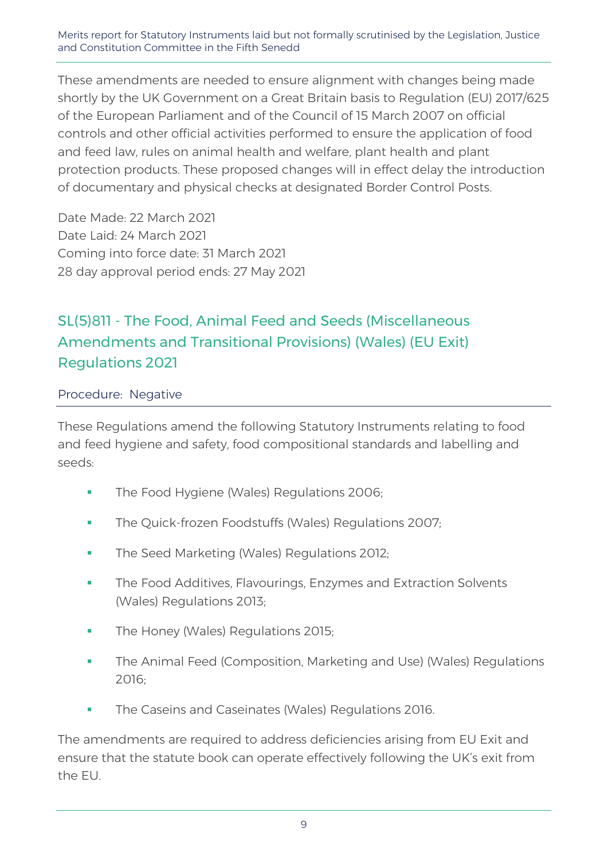These amendments are needed to ensure alignment with changes being made shortly by the UK Government on a Great Britain basis to Regulation (EU) 2017/625 of the European Parliament and of the Council of 15 March 2007 on official controls and other official activities performed to ensure the application of food and feed law, rules on animal health and welfare, plant health and plant protection products. These proposed changes will in effect delay the introduction of documentary and physical checks at designated Border Control Posts.

Date Made: 22 March 2021 Date Laid: 24 March 2021 Coming into force date: 31 March 2021 28 day approval period ends: 27 May 2021

## SL(5)811 - The Food, Animal Feed and Seeds (Miscellaneous Amendments and Transitional Provisions) (Wales) (EU Exit) Regulations 2021

#### Procedure: Negative

These Regulations amend the following Statutory Instruments relating to food and feed hygiene and safety, food compositional standards and labelling and seeds:

- **The Food Hygiene (Wales) Regulations 2006;**
- **The Quick-frozen Foodstuffs (Wales) Regulations 2007;**
- **The Seed Marketing (Wales) Regulations 2012;**
- **The Food Additives, Flavourings, Enzymes and Extraction Solvents** (Wales) Regulations 2013;
- **The Honey (Wales) Regulations 2015;**
- **The Animal Feed (Composition, Marketing and Use) (Wales) Regulations** 2016;
- **The Caseins and Caseinates (Wales) Regulations 2016.**

The amendments are required to address deficiencies arising from EU Exit and ensure that the statute book can operate effectively following the UK's exit from the EU.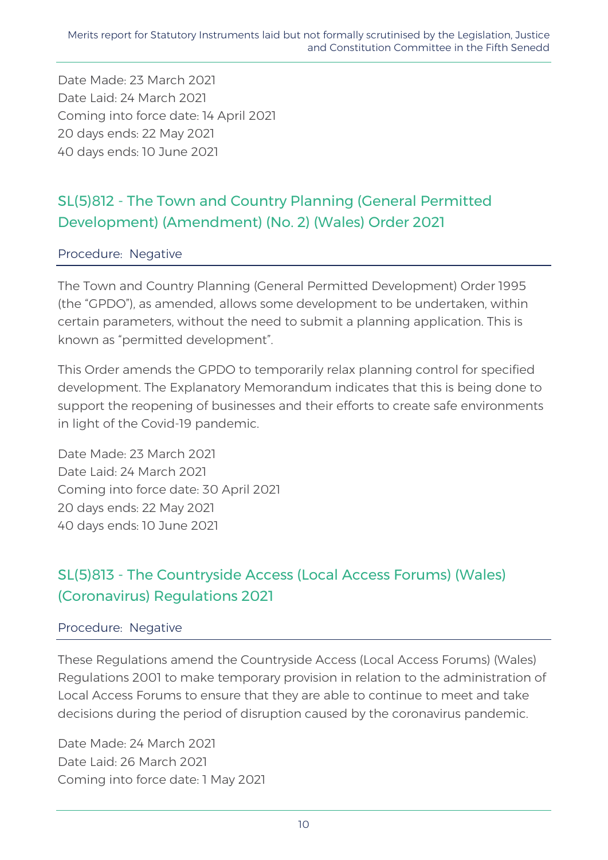Date Made: 23 March 2021 Date Laid: 24 March 2021 Coming into force date: 14 April 2021 20 days ends: 22 May 2021 40 days ends: 10 June 2021

## SL(5)812 - The Town and Country Planning (General Permitted Development) (Amendment) (No. 2) (Wales) Order 2021

### Procedure: Negative

The Town and Country Planning (General Permitted Development) Order 1995 (the "GPDO"), as amended, allows some development to be undertaken, within certain parameters, without the need to submit a planning application. This is known as "permitted development".

This Order amends the GPDO to temporarily relax planning control for specified development. The Explanatory Memorandum indicates that this is being done to support the reopening of businesses and their efforts to create safe environments in light of the Covid-19 pandemic.

Date Made: 23 March 2021 Date Laid: 24 March 2021 Coming into force date: 30 April 2021 20 days ends: 22 May 2021 40 days ends: 10 June 2021

## SL(5)813 - The Countryside Access (Local Access Forums) (Wales) (Coronavirus) Regulations 2021

#### Procedure: Negative

These Regulations amend the Countryside Access (Local Access Forums) (Wales) Regulations 2001 to make temporary provision in relation to the administration of Local Access Forums to ensure that they are able to continue to meet and take decisions during the period of disruption caused by the coronavirus pandemic.

Date Made: 24 March 2021 Date Laid: 26 March 2021 Coming into force date: 1 May 2021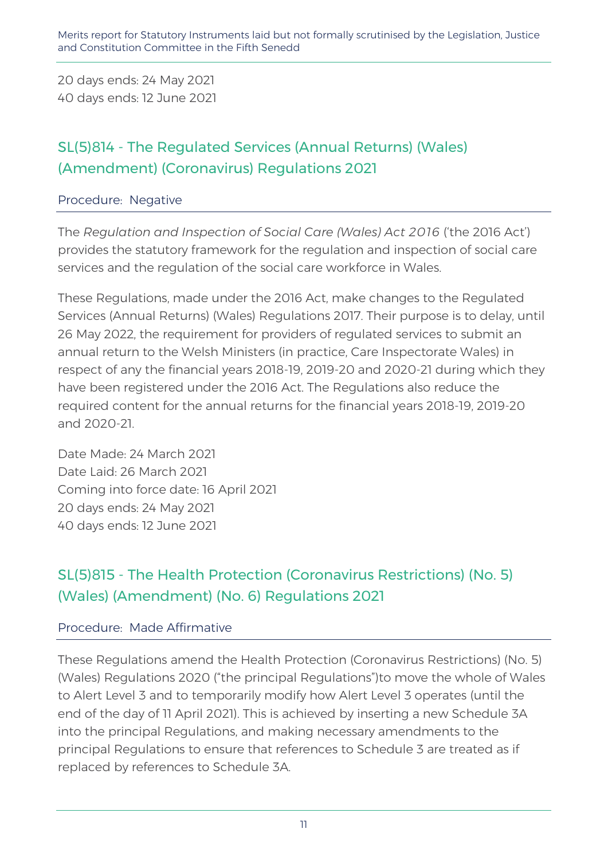20 days ends: 24 May 2021 40 days ends: 12 June 2021

## SL(5)814 - The Regulated Services (Annual Returns) (Wales) (Amendment) (Coronavirus) Regulations 2021

### Procedure: Negative

The *Regulation and Inspection of Social Care (Wales) Act 2016* ('the 2016 Act') provides the statutory framework for the regulation and inspection of social care services and the regulation of the social care workforce in Wales.

These Regulations, made under the 2016 Act, make changes to the Regulated Services (Annual Returns) (Wales) Regulations 2017. Their purpose is to delay, until 26 May 2022, the requirement for providers of regulated services to submit an annual return to the Welsh Ministers (in practice, Care Inspectorate Wales) in respect of any the financial years 2018-19, 2019-20 and 2020-21 during which they have been registered under the 2016 Act. The Regulations also reduce the required content for the annual returns for the financial years 2018-19, 2019-20 and 2020-21.

Date Made: 24 March 2021 Date Laid: 26 March 2021 Coming into force date: 16 April 2021 20 days ends: 24 May 2021 40 days ends: 12 June 2021

## SL(5)815 - The Health Protection (Coronavirus Restrictions) (No. 5) (Wales) (Amendment) (No. 6) Regulations 2021

### Procedure: Made Affirmative

These Regulations amend the Health Protection (Coronavirus Restrictions) (No. 5) (Wales) Regulations 2020 ("the principal Regulations")to move the whole of Wales to Alert Level 3 and to temporarily modify how Alert Level 3 operates (until the end of the day of 11 April 2021). This is achieved by inserting a new Schedule 3A into the principal Regulations, and making necessary amendments to the principal Regulations to ensure that references to Schedule 3 are treated as if replaced by references to Schedule 3A.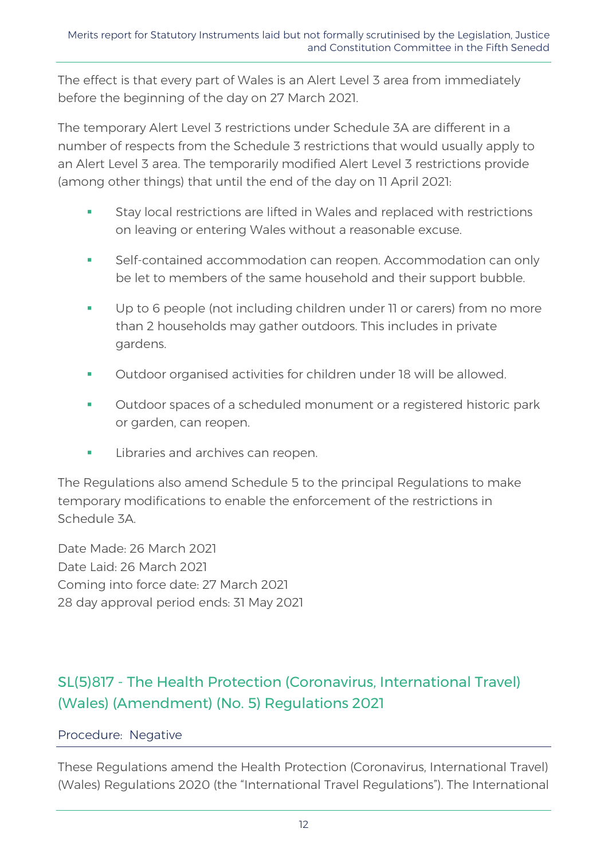The effect is that every part of Wales is an Alert Level 3 area from immediately before the beginning of the day on 27 March 2021.

The temporary Alert Level 3 restrictions under Schedule 3A are different in a number of respects from the Schedule 3 restrictions that would usually apply to an Alert Level 3 area. The temporarily modified Alert Level 3 restrictions provide (among other things) that until the end of the day on 11 April 2021:

- **Stay local restrictions are lifted in Wales and replaced with restrictions** on leaving or entering Wales without a reasonable excuse.
- Self-contained accommodation can reopen. Accommodation can only be let to members of the same household and their support bubble.
- Up to 6 people (not including children under 11 or carers) from no more than 2 households may gather outdoors. This includes in private gardens.
- Outdoor organised activities for children under 18 will be allowed.
- Outdoor spaces of a scheduled monument or a registered historic park or garden, can reopen.
- Libraries and archives can reopen.

The Regulations also amend Schedule 5 to the principal Regulations to make temporary modifications to enable the enforcement of the restrictions in Schedule 3A.

Date Made: 26 March 2021 Date Laid: 26 March 2021 Coming into force date: 27 March 2021 28 day approval period ends: 31 May 2021

# SL(5)817 - The Health Protection (Coronavirus, International Travel) (Wales) (Amendment) (No. 5) Regulations 2021

### Procedure: Negative

These Regulations amend the Health Protection (Coronavirus, International Travel) (Wales) Regulations 2020 (the "International Travel Regulations"). The International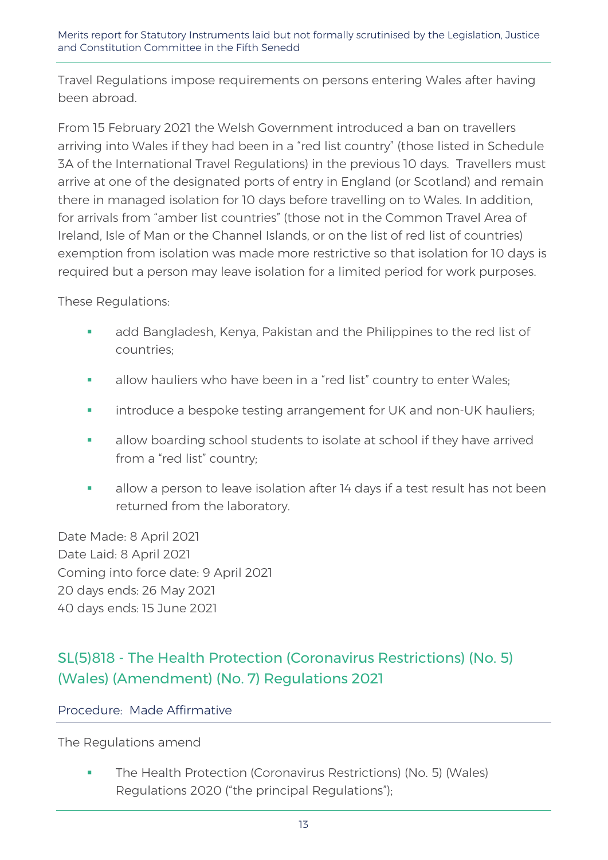Travel Regulations impose requirements on persons entering Wales after having been abroad.

From 15 February 2021 the Welsh Government introduced a ban on travellers arriving into Wales if they had been in a "red list country" (those listed in Schedule 3A of the International Travel Regulations) in the previous 10 days. Travellers must arrive at one of the designated ports of entry in England (or Scotland) and remain there in managed isolation for 10 days before travelling on to Wales. In addition, for arrivals from "amber list countries" (those not in the Common Travel Area of Ireland, Isle of Man or the Channel Islands, or on the list of red list of countries) exemption from isolation was made more restrictive so that isolation for 10 days is required but a person may leave isolation for a limited period for work purposes.

These Regulations:

- add Bangladesh, Kenya, Pakistan and the Philippines to the red list of countries;
- **allow hauliers who have been in a "red list" country to enter Wales;**
- **EXEDEE A** introduce a bespoke testing arrangement for UK and non-UK hauliers;
- **allow boarding school students to isolate at school if they have arrived** from a "red list" country;
- **allow a person to leave isolation after 14 days if a test result has not been** returned from the laboratory.

Date Made: 8 April 2021 Date Laid: 8 April 2021 Coming into force date: 9 April 2021 20 days ends: 26 May 2021 40 days ends: 15 June 2021

## SL(5)818 - The Health Protection (Coronavirus Restrictions) (No. 5) (Wales) (Amendment) (No. 7) Regulations 2021

### Procedure: Made Affirmative

The Regulations amend

 The Health Protection (Coronavirus Restrictions) (No. 5) (Wales) Regulations 2020 ("the principal Regulations");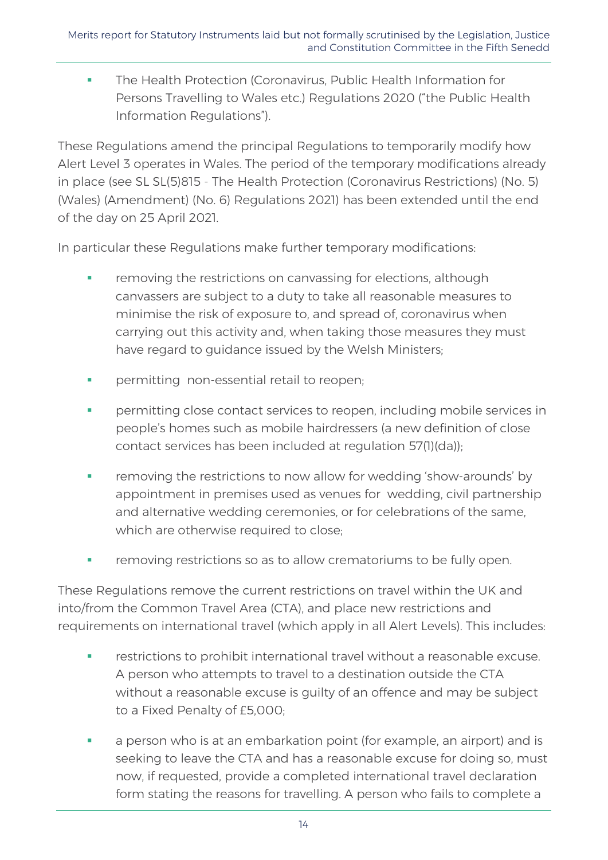**The Health Protection (Coronavirus, Public Health Information for** Persons Travelling to Wales etc.) Regulations 2020 ("the Public Health Information Regulations").

These Regulations amend the principal Regulations to temporarily modify how Alert Level 3 operates in Wales. The period of the temporary modifications already in place (see SL SL(5)815 - The Health Protection (Coronavirus Restrictions) (No. 5) (Wales) (Amendment) (No. 6) Regulations 2021) has been extended until the end of the day on 25 April 2021.

In particular these Regulations make further temporary modifications:

- removing the restrictions on canvassing for elections, although canvassers are subject to a duty to take all reasonable measures to minimise the risk of exposure to, and spread of, coronavirus when carrying out this activity and, when taking those measures they must have regard to guidance issued by the Welsh Ministers;
- **Permitting non-essential retail to reopen;**
- permitting close contact services to reopen, including mobile services in people's homes such as mobile hairdressers (a new definition of close contact services has been included at regulation 57(1)(da));
- **Fuller** removing the restrictions to now allow for wedding 'show-arounds' by appointment in premises used as venues for wedding, civil partnership and alternative wedding ceremonies, or for celebrations of the same, which are otherwise required to close;
- **Full removing restrictions so as to allow crematoriums to be fully open.**

These Regulations remove the current restrictions on travel within the UK and into/from the Common Travel Area (CTA), and place new restrictions and requirements on international travel (which apply in all Alert Levels). This includes:

- restrictions to prohibit international travel without a reasonable excuse. A person who attempts to travel to a destination outside the CTA without a reasonable excuse is guilty of an offence and may be subject to a Fixed Penalty of £5,000;
- a person who is at an embarkation point (for example, an airport) and is seeking to leave the CTA and has a reasonable excuse for doing so, must now, if requested, provide a completed international travel declaration form stating the reasons for travelling. A person who fails to complete a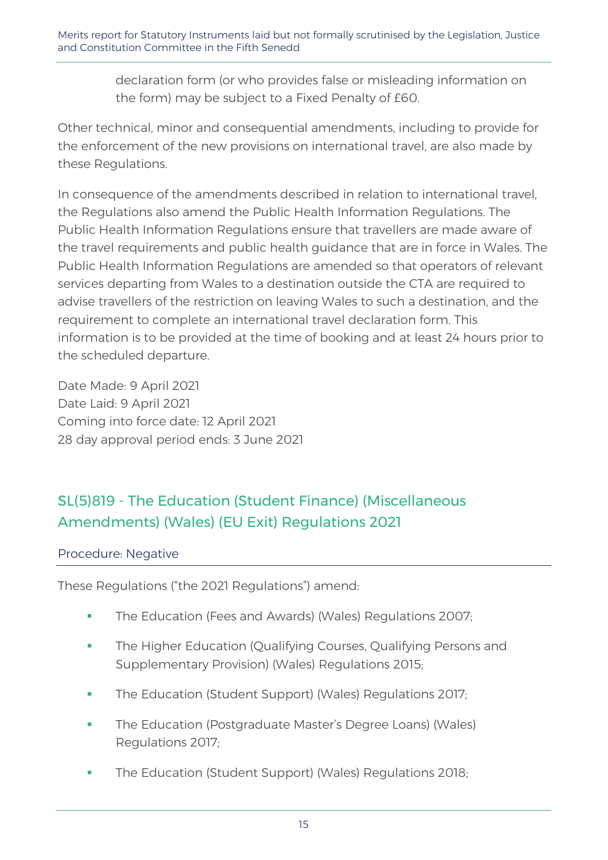declaration form (or who provides false or misleading information on the form) may be subject to a Fixed Penalty of £60.

Other technical, minor and consequential amendments, including to provide for the enforcement of the new provisions on international travel, are also made by these Regulations.

In consequence of the amendments described in relation to international travel, the Regulations also amend the Public Health Information Regulations. The Public Health Information Regulations ensure that travellers are made aware of the travel requirements and public health guidance that are in force in Wales. The Public Health Information Regulations are amended so that operators of relevant services departing from Wales to a destination outside the CTA are required to advise travellers of the restriction on leaving Wales to such a destination, and the requirement to complete an international travel declaration form. This information is to be provided at the time of booking and at least 24 hours prior to the scheduled departure.

Date Made: 9 April 2021 Date Laid: 9 April 2021 Coming into force date: 12 April 2021 28 day approval period ends: 3 June 2021

# SL(5)819 - The Education (Student Finance) (Miscellaneous Amendments) (Wales) (EU Exit) Regulations 2021

### Procedure: Negative

These Regulations ("the 2021 Regulations") amend:

- **The Education (Fees and Awards) (Wales) Regulations 2007;**
- **The Higher Education (Qualifying Courses, Qualifying Persons and** Supplementary Provision) (Wales) Regulations 2015;
- **The Education (Student Support) (Wales) Regulations 2017;**
- **The Education (Postgraduate Master's Degree Loans) (Wales)** Regulations 2017;
- **The Education (Student Support) (Wales) Regulations 2018;**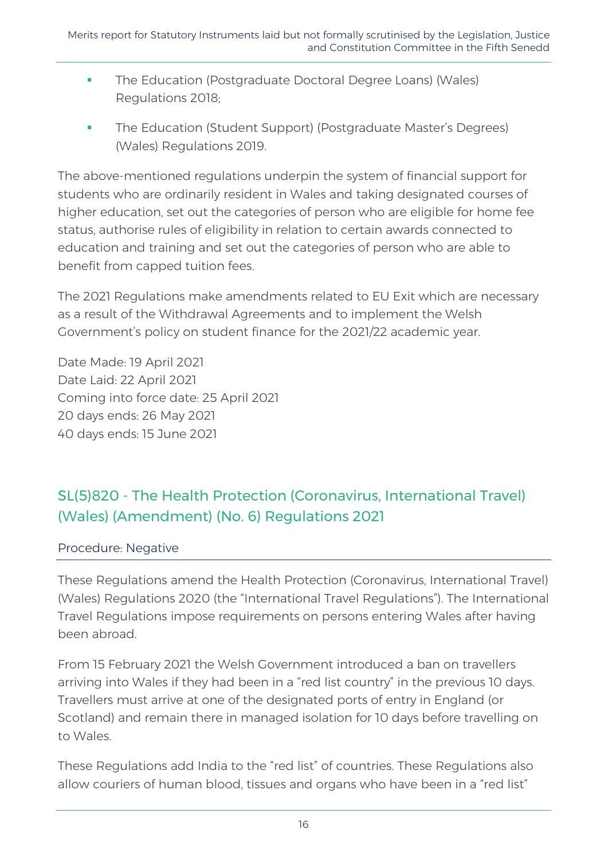- **The Education (Postgraduate Doctoral Degree Loans) (Wales)** Regulations 2018;
- **The Education (Student Support) (Postgraduate Master's Degrees)** (Wales) Regulations 2019.

The above-mentioned regulations underpin the system of financial support for students who are ordinarily resident in Wales and taking designated courses of higher education, set out the categories of person who are eligible for home fee status, authorise rules of eligibility in relation to certain awards connected to education and training and set out the categories of person who are able to benefit from capped tuition fees.

The 2021 Regulations make amendments related to EU Exit which are necessary as a result of the Withdrawal Agreements and to implement the Welsh Government's policy on student finance for the 2021/22 academic year.

Date Made: 19 April 2021 Date Laid: 22 April 2021 Coming into force date: 25 April 2021 20 days ends: 26 May 2021 40 days ends: 15 June 2021

# SL(5)820 - The Health Protection (Coronavirus, International Travel) (Wales) (Amendment) (No. 6) Regulations 2021

### Procedure: Negative

These Regulations amend the Health Protection (Coronavirus, International Travel) (Wales) Regulations 2020 (the "International Travel Regulations"). The International Travel Regulations impose requirements on persons entering Wales after having been abroad.

From 15 February 2021 the Welsh Government introduced a ban on travellers arriving into Wales if they had been in a "red list country" in the previous 10 days. Travellers must arrive at one of the designated ports of entry in England (or Scotland) and remain there in managed isolation for 10 days before travelling on to Wales.

These Regulations add India to the "red list" of countries. These Regulations also allow couriers of human blood, tissues and organs who have been in a "red list"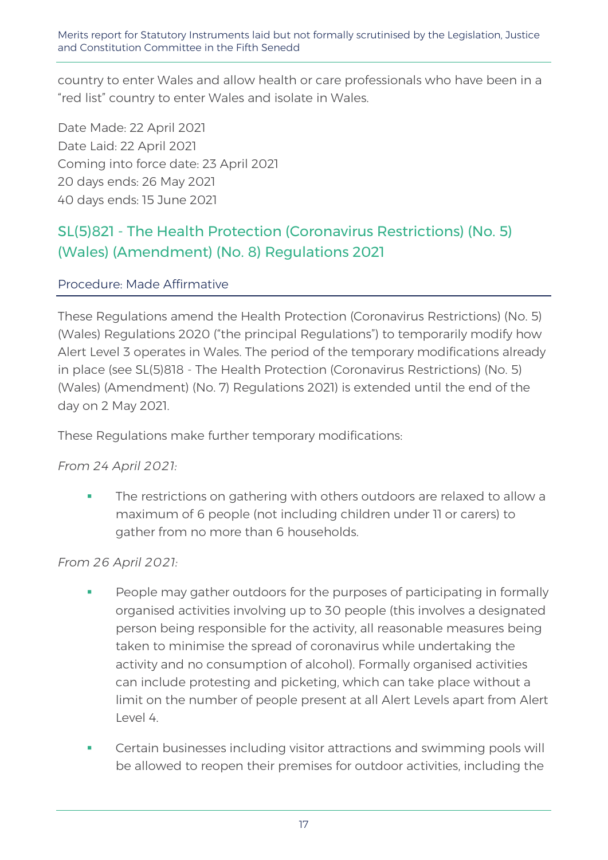country to enter Wales and allow health or care professionals who have been in a "red list" country to enter Wales and isolate in Wales.

Date Made: 22 April 2021 Date Laid: 22 April 2021 Coming into force date: 23 April 2021 20 days ends: 26 May 2021 40 days ends: 15 June 2021

## SL(5)821 - The Health Protection (Coronavirus Restrictions) (No. 5) (Wales) (Amendment) (No. 8) Regulations 2021

### Procedure: Made Affirmative

These Regulations amend the Health Protection (Coronavirus Restrictions) (No. 5) (Wales) Regulations 2020 ("the principal Regulations") to temporarily modify how Alert Level 3 operates in Wales. The period of the temporary modifications already in place (see SL(5)818 - The Health Protection (Coronavirus Restrictions) (No. 5) (Wales) (Amendment) (No. 7) Regulations 2021) is extended until the end of the day on 2 May 2021.

These Regulations make further temporary modifications:

### *From 24 April 2021:*

 The restrictions on gathering with others outdoors are relaxed to allow a maximum of 6 people (not including children under 11 or carers) to gather from no more than 6 households.

### *From 26 April 2021:*

- People may gather outdoors for the purposes of participating in formally organised activities involving up to 30 people (this involves a designated person being responsible for the activity, all reasonable measures being taken to minimise the spread of coronavirus while undertaking the activity and no consumption of alcohol). Formally organised activities can include protesting and picketing, which can take place without a limit on the number of people present at all Alert Levels apart from Alert Level 4.
- Certain businesses including visitor attractions and swimming pools will be allowed to reopen their premises for outdoor activities, including the